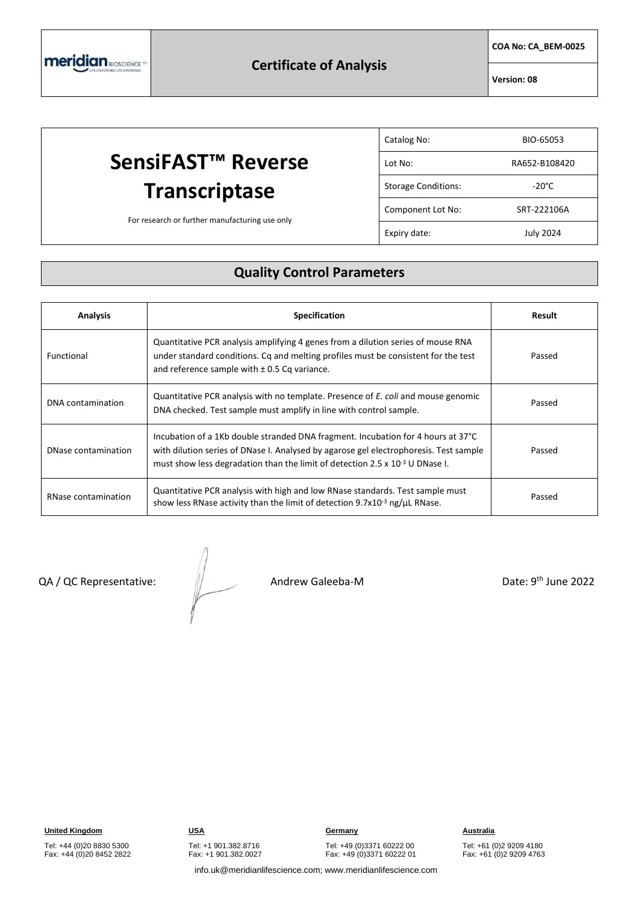**COA No: CA\_BEM-0025**

**Version: 08**

### **SensiFAST™ Reverse Transcriptase** For research or further manufacturing use only Catalog No: BIO-65053 Lot No: RA652-B108420 Storage Conditions: The Storage Conditions: Component Lot No: SRT-222106A Expiry date: July 2024

## **Quality Control Parameters**

| <b>Analysis</b>     | <b>Specification</b>                                                                                                                                                                                                                                           | Result |
|---------------------|----------------------------------------------------------------------------------------------------------------------------------------------------------------------------------------------------------------------------------------------------------------|--------|
| Functional          | Quantitative PCR analysis amplifying 4 genes from a dilution series of mouse RNA<br>under standard conditions. Cq and melting profiles must be consistent for the test<br>and reference sample with $\pm$ 0.5 Cq variance.                                     | Passed |
| DNA contamination   | Quantitative PCR analysis with no template. Presence of E. coli and mouse genomic<br>DNA checked. Test sample must amplify in line with control sample.                                                                                                        | Passed |
| DNase contamination | Incubation of a 1Kb double stranded DNA fragment. Incubation for 4 hours at 37°C<br>with dilution series of DNase I. Analysed by agarose gel electrophoresis. Test sample<br>must show less degradation than the limit of detection 2.5 x $10^{-3}$ U DNase I. | Passed |
| RNase contamination | Quantitative PCR analysis with high and low RNase standards. Test sample must<br>show less RNase activity than the limit of detection 9.7x10 <sup>-3</sup> ng/µL RNase.                                                                                        | Passed |

QA / QC Representative:  $\frac{1}{2}$  Andrew Galeeba-M

Date: 9<sup>th</sup> June 2022

Tel: +44 (0)20 8830 5300 Fax: +44 (0)20 8452 2822 Tel: +1 901.382.8716 Fax: +1 901.382.0027

Tel: +49 (0)3371 60222 00 Fax: +49 (0)3371 60222 01

Tel: +61 (0)2 9209 4180 Fax: +61 (0)2 9209 4763